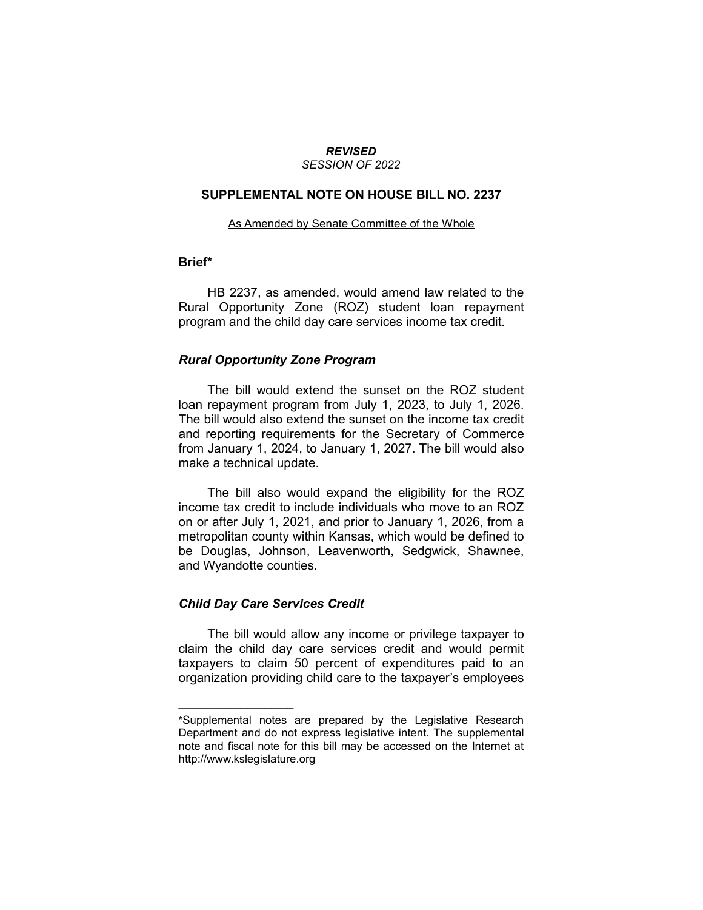#### *REVISED SESSION OF 2022*

### **SUPPLEMENTAL NOTE ON HOUSE BILL NO. 2237**

#### As Amended by Senate Committee of the Whole

## **Brief\***

HB 2237, as amended, would amend law related to the Rural Opportunity Zone (ROZ) student loan repayment program and the child day care services income tax credit.

#### *Rural Opportunity Zone Program*

The bill would extend the sunset on the ROZ student loan repayment program from July 1, 2023, to July 1, 2026. The bill would also extend the sunset on the income tax credit and reporting requirements for the Secretary of Commerce from January 1, 2024, to January 1, 2027. The bill would also make a technical update.

The bill also would expand the eligibility for the ROZ income tax credit to include individuals who move to an ROZ on or after July 1, 2021, and prior to January 1, 2026, from a metropolitan county within Kansas, which would be defined to be Douglas, Johnson, Leavenworth, Sedgwick, Shawnee, and Wyandotte counties.

#### *Child Day Care Services Credit*

 $\overline{\phantom{a}}$  , where  $\overline{\phantom{a}}$  , where  $\overline{\phantom{a}}$ 

The bill would allow any income or privilege taxpayer to claim the child day care services credit and would permit taxpayers to claim 50 percent of expenditures paid to an organization providing child care to the taxpayer's employees

<sup>\*</sup>Supplemental notes are prepared by the Legislative Research Department and do not express legislative intent. The supplemental note and fiscal note for this bill may be accessed on the Internet at http://www.kslegislature.org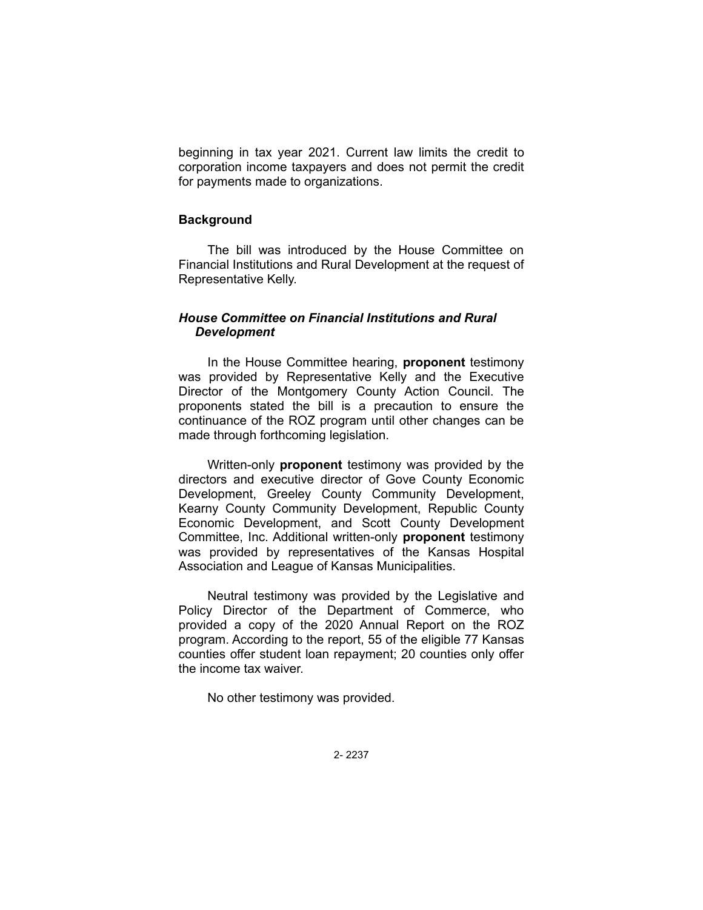beginning in tax year 2021. Current law limits the credit to corporation income taxpayers and does not permit the credit for payments made to organizations.

## **Background**

The bill was introduced by the House Committee on Financial Institutions and Rural Development at the request of Representative Kelly.

# *House Committee on Financial Institutions and Rural Development*

In the House Committee hearing, **proponent** testimony was provided by Representative Kelly and the Executive Director of the Montgomery County Action Council. The proponents stated the bill is a precaution to ensure the continuance of the ROZ program until other changes can be made through forthcoming legislation.

Written-only **proponent** testimony was provided by the directors and executive director of Gove County Economic Development, Greeley County Community Development, Kearny County Community Development, Republic County Economic Development, and Scott County Development Committee, Inc. Additional written-only **proponent** testimony was provided by representatives of the Kansas Hospital Association and League of Kansas Municipalities.

Neutral testimony was provided by the Legislative and Policy Director of the Department of Commerce, who provided a copy of the 2020 Annual Report on the ROZ program. According to the report, 55 of the eligible 77 Kansas counties offer student loan repayment; 20 counties only offer the income tax waiver.

No other testimony was provided.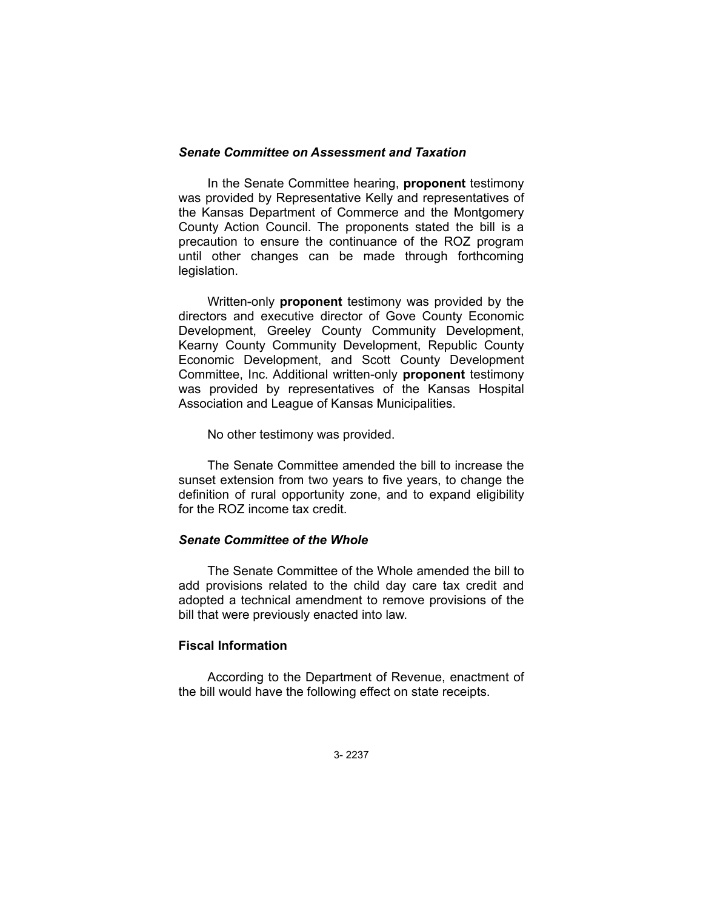### *Senate Committee on Assessment and Taxation*

In the Senate Committee hearing, **proponent** testimony was provided by Representative Kelly and representatives of the Kansas Department of Commerce and the Montgomery County Action Council. The proponents stated the bill is a precaution to ensure the continuance of the ROZ program until other changes can be made through forthcoming legislation.

Written-only **proponent** testimony was provided by the directors and executive director of Gove County Economic Development, Greeley County Community Development, Kearny County Community Development, Republic County Economic Development, and Scott County Development Committee, Inc. Additional written-only **proponent** testimony was provided by representatives of the Kansas Hospital Association and League of Kansas Municipalities.

No other testimony was provided.

The Senate Committee amended the bill to increase the sunset extension from two years to five years, to change the definition of rural opportunity zone, and to expand eligibility for the ROZ income tax credit.

# *Senate Committee of the Whole*

The Senate Committee of the Whole amended the bill to add provisions related to the child day care tax credit and adopted a technical amendment to remove provisions of the bill that were previously enacted into law.

# **Fiscal Information**

According to the Department of Revenue, enactment of the bill would have the following effect on state receipts.

3- 2237